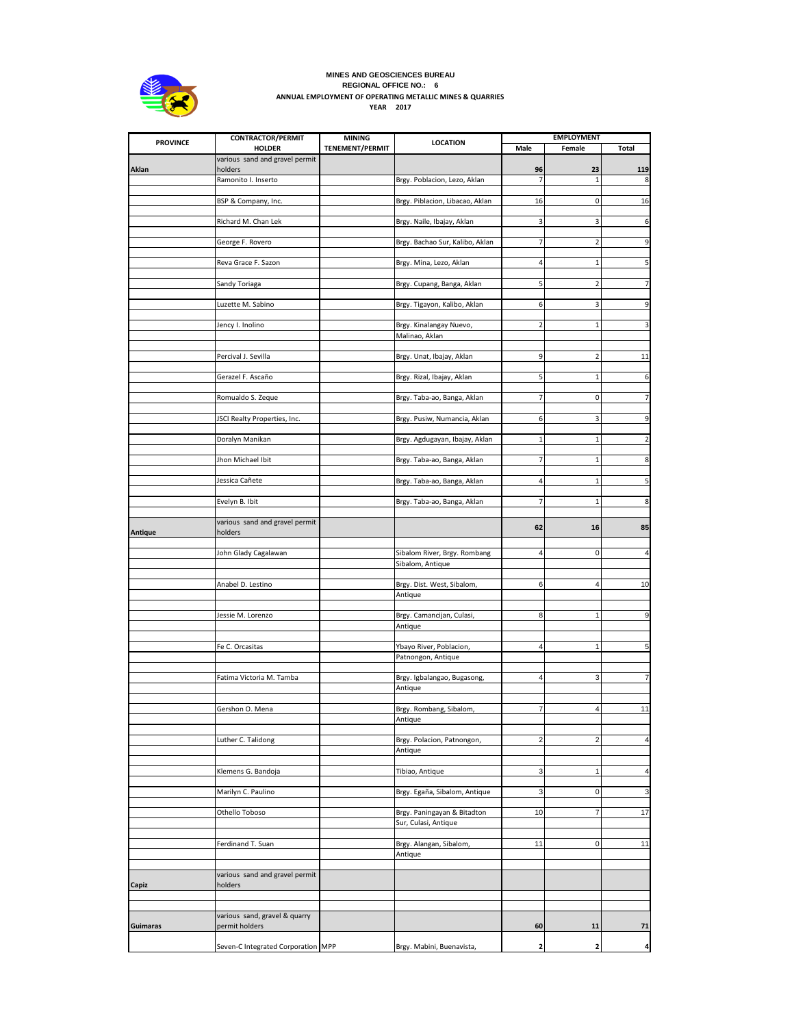

## **MINES AND GEOSCIENCES BUREAU REGIONAL OFFICE NO.: 6 ANNUAL EMPLOYMENT OF OPERATING METALLIC MINES & QUARRIES YEAR 2017**

| <b>PROVINCE</b> | <b>CONTRACTOR/PERMIT</b>                        | <b>MINING</b>          | <b>LOCATION</b>                 |                | <b>EMPLOYMENT</b>       |                |
|-----------------|-------------------------------------------------|------------------------|---------------------------------|----------------|-------------------------|----------------|
|                 | <b>HOLDER</b><br>various sand and gravel permit | <b>TENEMENT/PERMIT</b> |                                 | Male           | Female                  | Total          |
| Aklan           | holders                                         |                        |                                 | 96             | 23                      | 119            |
|                 | Ramonito I. Inserto                             |                        | Brgy. Poblacion, Lezo, Aklan    | $\overline{7}$ | $\mathbf{1}$            | 8              |
|                 |                                                 |                        |                                 |                |                         |                |
|                 | BSP & Company, Inc.                             |                        | Brgy. Piblacion, Libacao, Aklan | 16             | 0                       | 16             |
|                 |                                                 |                        |                                 |                |                         |                |
|                 | Richard M. Chan Lek                             |                        | Brgy. Naile, Ibajay, Aklan      | 3              | 3                       | 6              |
|                 |                                                 |                        | Brgy. Bachao Sur, Kalibo, Aklan | $\overline{7}$ | $\overline{2}$          | 9              |
|                 | George F. Rovero                                |                        |                                 |                |                         |                |
|                 | Reva Grace F. Sazon                             |                        | Brgy. Mina, Lezo, Aklan         | 4              | $\mathbf{1}$            |                |
|                 |                                                 |                        |                                 |                |                         |                |
|                 | Sandy Toriaga                                   |                        | Brgy. Cupang, Banga, Aklan      | 5              | $\overline{2}$          | 7              |
|                 |                                                 |                        |                                 |                |                         |                |
|                 | Luzette M. Sabino                               |                        | Brgy. Tigayon, Kalibo, Aklan    | 6              | 3                       | 9              |
|                 |                                                 |                        |                                 |                |                         |                |
|                 | Jency I. Inolino                                |                        | Brgy. Kinalangay Nuevo,         | $\overline{2}$ | $\mathbf{1}$            | 3              |
|                 |                                                 |                        | Malinao, Aklan                  |                |                         |                |
|                 | Percival J. Sevilla                             |                        | Brgy. Unat, Ibajay, Aklan       | 9              | $\overline{\mathbf{z}}$ | 11             |
|                 |                                                 |                        |                                 |                |                         |                |
|                 | Gerazel F. Ascaño                               |                        | Brgy. Rizal, Ibajay, Aklan      | 5              | 1                       | 6              |
|                 |                                                 |                        |                                 |                |                         |                |
|                 | Romualdo S. Zeque                               |                        | Brgy. Taba-ao, Banga, Aklan     | $\overline{7}$ | $\mathbf 0$             | 7              |
|                 |                                                 |                        |                                 |                |                         |                |
|                 | JSCI Realty Properties, Inc.                    |                        | Brgy. Pusiw, Numancia, Aklan    | 6              | 3                       | 9              |
|                 |                                                 |                        |                                 |                |                         |                |
|                 | Doralyn Manikan                                 |                        | Brgy. Agdugayan, Ibajay, Aklan  | $\mathbf{1}$   | 1                       | $\overline{2}$ |
|                 | Jhon Michael Ibit                               |                        | Brgy. Taba-ao, Banga, Aklan     | $\overline{7}$ | $\mathbf{1}$            | 8              |
|                 |                                                 |                        |                                 |                |                         |                |
|                 | Jessica Cañete                                  |                        | Brgy. Taba-ao, Banga, Aklan     | 4              | $\mathbf{1}$            | 5              |
|                 |                                                 |                        |                                 |                |                         |                |
|                 | Evelyn B. Ibit                                  |                        | Brgy. Taba-ao, Banga, Aklan     | 7              | 1                       | 8              |
|                 |                                                 |                        |                                 |                |                         |                |
|                 | various sand and gravel permit                  |                        |                                 | 62             | 16                      | 85             |
| <b>Antique</b>  | holders                                         |                        |                                 |                |                         |                |
|                 | John Glady Cagalawan                            |                        | Sibalom River, Brgy. Rombang    | $\overline{4}$ | $\mathbf 0$             | $\overline{4}$ |
|                 |                                                 |                        | Sibalom, Antique                |                |                         |                |
|                 |                                                 |                        |                                 |                |                         |                |
|                 | Anabel D. Lestino                               |                        | Brgy. Dist. West, Sibalom,      | 6              | $\overline{4}$          | 10             |
|                 |                                                 |                        | Antique                         |                |                         |                |
|                 |                                                 |                        |                                 |                |                         |                |
|                 | Jessie M. Lorenzo                               |                        | Brgy. Camancijan, Culasi,       | 8              | $\mathbf{1}$            | 9              |
|                 |                                                 |                        | Antique                         |                |                         |                |
|                 | Fe C. Orcasitas                                 |                        | Ybayo River, Poblacion,         | $\overline{4}$ | $\mathbf{1}$            | 5              |
|                 |                                                 |                        | Patnongon, Antique              |                |                         |                |
|                 |                                                 |                        |                                 |                |                         |                |
|                 | Fatima Victoria M. Tamba                        |                        | Brgy. Igbalangao, Bugasong,     | $\overline{4}$ | 3                       | $\overline{7}$ |
|                 |                                                 |                        | Antique                         |                |                         |                |
|                 |                                                 |                        |                                 |                |                         |                |
|                 | Gershon O. Mena                                 |                        | Brgy. Rombang, Sibalom,         | $\overline{7}$ | $\overline{4}$          | 11             |
|                 |                                                 |                        | Antique                         |                |                         |                |
|                 | Luther C. Talidong                              |                        | Brgy. Polacion, Patnongon,      | $\overline{2}$ | $\overline{2}$          | $\overline{4}$ |
|                 |                                                 |                        | Antique                         |                |                         |                |
|                 |                                                 |                        |                                 |                |                         |                |
|                 | Klemens G. Bandoja                              |                        | Tibiao, Antique                 | 3              | $\mathbf{1}$            | $\overline{4}$ |
|                 |                                                 |                        |                                 |                |                         |                |
|                 | Marilyn C. Paulino                              |                        | Brgy. Egaña, Sibalom, Antique   | 3              | 0                       | 3              |
|                 |                                                 |                        |                                 |                |                         |                |
|                 | Othello Toboso                                  |                        | Brgy. Paningayan & Bitadton     | 10             | 7                       | 17             |
|                 |                                                 |                        | Sur, Culasi, Antique            |                |                         |                |
|                 | Ferdinand T. Suan                               |                        | Brgy. Alangan, Sibalom,         | 11             | $\pmb{0}$               | 11             |
|                 |                                                 |                        | Antique                         |                |                         |                |
|                 |                                                 |                        |                                 |                |                         |                |
|                 | various sand and gravel permit                  |                        |                                 |                |                         |                |
| Capiz           | holders                                         |                        |                                 |                |                         |                |
|                 |                                                 |                        |                                 |                |                         |                |
|                 |                                                 |                        |                                 |                |                         |                |
| <b>Guimaras</b> | various sand, gravel & quarry<br>permit holders |                        |                                 | 60             | 11                      | 71             |
|                 |                                                 |                        |                                 |                |                         |                |
|                 | Seven-C Integrated Corporation MPP              |                        | Brgy. Mabini, Buenavista,       | 2              | 2                       | 4              |